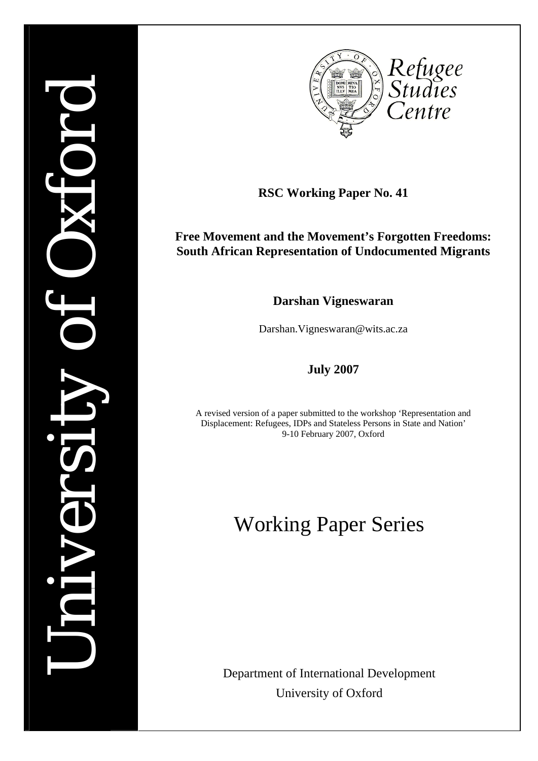# *University of Oxford*  Ail



**RSC Working Paper No. 41** 

# **Free Movement and the Movement's Forgotten Freedoms: South African Representation of Undocumented Migrants**

**Darshan Vigneswaran** 

Darshan.Vigneswaran@wits.ac.za

**July 2007** 

A revised version of a paper submitted to the workshop 'Representation and Displacement: Refugees, IDPs and Stateless Persons in State and Nation' 9-10 February 2007, Oxford

# Working Paper Series

Department of International Development University of Oxford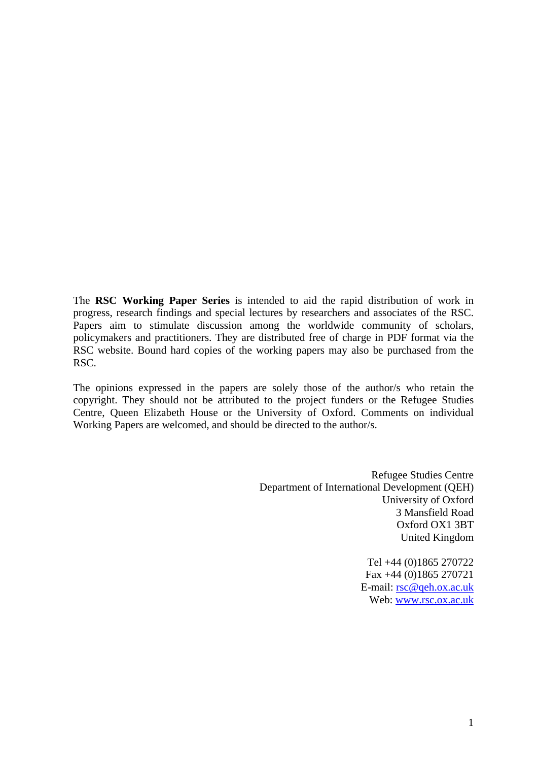The **RSC Working Paper Series** is intended to aid the rapid distribution of work in progress, research findings and special lectures by researchers and associates of the RSC. Papers aim to stimulate discussion among the worldwide community of scholars, policymakers and practitioners. They are distributed free of charge in PDF format via the RSC website. Bound hard copies of the working papers may also be purchased from the RSC.

The opinions expressed in the papers are solely those of the author/s who retain the copyright. They should not be attributed to the project funders or the Refugee Studies Centre, Queen Elizabeth House or the University of Oxford. Comments on individual Working Papers are welcomed, and should be directed to the author/s.

> Refugee Studies Centre Department of International Development (QEH) University of Oxford 3 Mansfield Road Oxford OX1 3BT United Kingdom

> > Tel +44 (0)1865 270722 Fax +44 (0)1865 270721 E-mail: [rsc@qeh.ox.ac.uk](mailto:rsc@qeh.ox.ac.uk) Web: [www.rsc.ox.ac.uk](http://www.rsc.ox.ac.uk/)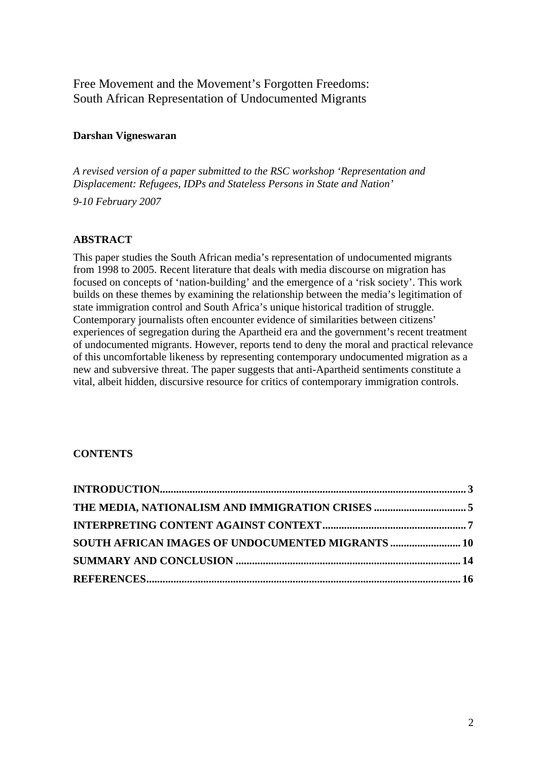Free Movement and the Movement's Forgotten Freedoms: South African Representation of Undocumented Migrants

## **Darshan Vigneswaran**

*A revised version of a paper submitted to the RSC workshop 'Representation and Displacement: Refugees, IDPs and Stateless Persons in State and Nation'* 

*9-10 February 2007*

# **ABSTRACT**

This paper studies the South African media's representation of undocumented migrants from 1998 to 2005. Recent literature that deals with media discourse on migration has focused on concepts of 'nation-building' and the emergence of a 'risk society'. This work builds on these themes by examining the relationship between the media's legitimation of state immigration control and South Africa's unique historical tradition of struggle. Contemporary journalists often encounter evidence of similarities between citizens' experiences of segregation during the Apartheid era and the government's recent treatment of undocumented migrants. However, reports tend to deny the moral and practical relevance of this uncomfortable likeness by representing contemporary undocumented migration as a new and subversive threat. The paper suggests that anti-Apartheid sentiments constitute a vital, albeit hidden, discursive resource for critics of contemporary immigration controls.

# **CONTENTS**

| <b>SOUTH AFRICAN IMAGES OF UNDOCUMENTED MIGRANTS  10</b> |  |
|----------------------------------------------------------|--|
|                                                          |  |
|                                                          |  |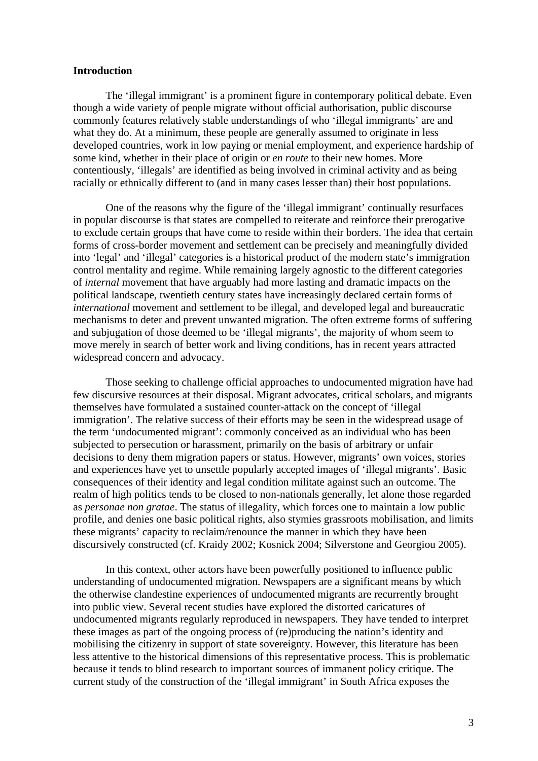### <span id="page-4-0"></span>**Introduction**

The 'illegal immigrant' is a prominent figure in contemporary political debate. Even though a wide variety of people migrate without official authorisation, public discourse commonly features relatively stable understandings of who 'illegal immigrants' are and what they do. At a minimum, these people are generally assumed to originate in less developed countries, work in low paying or menial employment, and experience hardship of some kind, whether in their place of origin or *en route* to their new homes. More contentiously, 'illegals' are identified as being involved in criminal activity and as being racially or ethnically different to (and in many cases lesser than) their host populations.

 One of the reasons why the figure of the 'illegal immigrant' continually resurfaces in popular discourse is that states are compelled to reiterate and reinforce their prerogative to exclude certain groups that have come to reside within their borders. The idea that certain forms of cross-border movement and settlement can be precisely and meaningfully divided into 'legal' and 'illegal' categories is a historical product of the modern state's immigration control mentality and regime. While remaining largely agnostic to the different categories of *internal* movement that have arguably had more lasting and dramatic impacts on the political landscape, twentieth century states have increasingly declared certain forms of *international* movement and settlement to be illegal, and developed legal and bureaucratic mechanisms to deter and prevent unwanted migration. The often extreme forms of suffering and subjugation of those deemed to be 'illegal migrants', the majority of whom seem to move merely in search of better work and living conditions, has in recent years attracted widespread concern and advocacy.

 Those seeking to challenge official approaches to undocumented migration have had few discursive resources at their disposal. Migrant advocates, critical scholars, and migrants themselves have formulated a sustained counter-attack on the concept of 'illegal immigration'. The relative success of their efforts may be seen in the widespread usage of the term 'undocumented migrant': commonly conceived as an individual who has been subjected to persecution or harassment, primarily on the basis of arbitrary or unfair decisions to deny them migration papers or status. However, migrants' own voices, stories and experiences have yet to unsettle popularly accepted images of 'illegal migrants'. Basic consequences of their identity and legal condition militate against such an outcome. The realm of high politics tends to be closed to non-nationals generally, let alone those regarded as *personae non gratae*. The status of illegality, which forces one to maintain a low public profile, and denies one basic political rights, also stymies grassroots mobilisation, and limits these migrants' capacity to reclaim/renounce the manner in which they have been discursively constructed (cf. Kraidy 2002; Kosnick 2004; Silverstone and Georgiou 2005).

 In this context, other actors have been powerfully positioned to influence public understanding of undocumented migration. Newspapers are a significant means by which the otherwise clandestine experiences of undocumented migrants are recurrently brought into public view. Several recent studies have explored the distorted caricatures of undocumented migrants regularly reproduced in newspapers. They have tended to interpret these images as part of the ongoing process of (re)producing the nation's identity and mobilising the citizenry in support of state sovereignty. However, this literature has been less attentive to the historical dimensions of this representative process. This is problematic because it tends to blind research to important sources of immanent policy critique. The current study of the construction of the 'illegal immigrant' in South Africa exposes the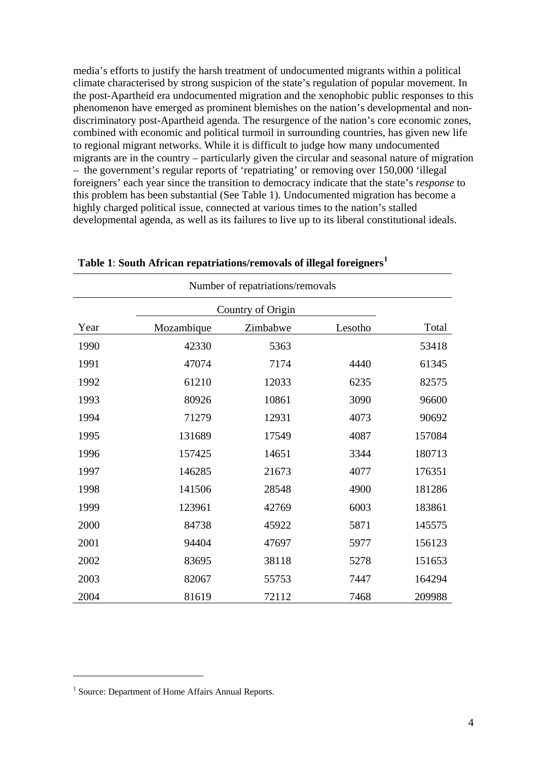media's efforts to justify the harsh treatment of undocumented migrants within a political climate characterised by strong suspicion of the state's regulation of popular movement. In the post-Apartheid era undocumented migration and the xenophobic public responses to this phenomenon have emerged as prominent blemishes on the nation's developmental and nondiscriminatory post-Apartheid agenda. The resurgence of the nation's core economic zones, combined with economic and political turmoil in surrounding countries, has given new life to regional migrant networks. While it is difficult to judge how many undocumented migrants are in the country – particularly given the circular and seasonal nature of migration – the government's regular reports of 'repatriating' or removing over 150,000 'illegal foreigners' each year since the transition to democracy indicate that the state's *response* to this problem has been substantial (See Table 1). Undocumented migration has become a highly charged political issue, connected at various times to the nation's stalled developmental agenda, as well as its failures to live up to its liberal constitutional ideals.

| Number of repatriations/removals |            |          |         |        |  |  |  |  |  |
|----------------------------------|------------|----------|---------|--------|--|--|--|--|--|
|                                  |            |          |         |        |  |  |  |  |  |
| Year                             | Mozambique | Zimbabwe | Lesotho | Total  |  |  |  |  |  |
| 1990                             | 42330      | 5363     |         | 53418  |  |  |  |  |  |
| 1991                             | 47074      | 7174     | 4440    | 61345  |  |  |  |  |  |
| 1992                             | 61210      | 12033    | 6235    | 82575  |  |  |  |  |  |
| 1993                             | 80926      | 10861    | 3090    | 96600  |  |  |  |  |  |
| 1994                             | 71279      | 12931    | 4073    | 90692  |  |  |  |  |  |
| 1995                             | 131689     | 17549    | 4087    | 157084 |  |  |  |  |  |
| 1996                             | 157425     | 14651    | 3344    | 180713 |  |  |  |  |  |
| 1997                             | 146285     | 21673    | 4077    | 176351 |  |  |  |  |  |
| 1998                             | 141506     | 28548    | 4900    | 181286 |  |  |  |  |  |
| 1999                             | 123961     | 42769    | 6003    | 183861 |  |  |  |  |  |
| 2000                             | 84738      | 45922    | 5871    | 145575 |  |  |  |  |  |
| 2001                             | 94404      | 47697    | 5977    | 156123 |  |  |  |  |  |
| 2002                             | 83695      | 38118    | 5278    | 151653 |  |  |  |  |  |
| 2003                             | 82067      | 55753    | 7447    | 164294 |  |  |  |  |  |
| 2004                             | 81619      | 72112    | 7468    | 209988 |  |  |  |  |  |

**Table 1**: **South African repatriations/removals of illegal foreigners[1](#page-5-0)**

<u>.</u>

<span id="page-5-0"></span><sup>&</sup>lt;sup>1</sup> Source: Department of Home Affairs Annual Reports.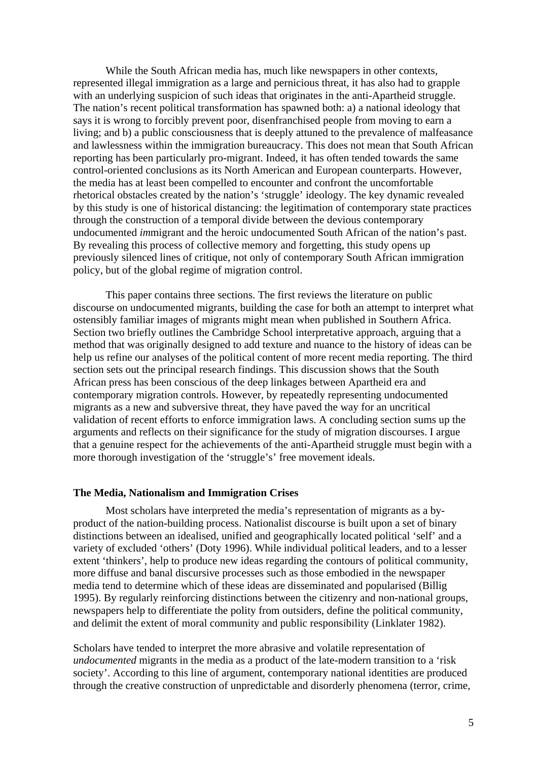<span id="page-6-0"></span>While the South African media has, much like newspapers in other contexts, represented illegal immigration as a large and pernicious threat, it has also had to grapple with an underlying suspicion of such ideas that originates in the anti-Apartheid struggle. The nation's recent political transformation has spawned both: a) a national ideology that says it is wrong to forcibly prevent poor, disenfranchised people from moving to earn a living; and b) a public consciousness that is deeply attuned to the prevalence of malfeasance and lawlessness within the immigration bureaucracy. This does not mean that South African reporting has been particularly pro-migrant. Indeed, it has often tended towards the same control-oriented conclusions as its North American and European counterparts. However, the media has at least been compelled to encounter and confront the uncomfortable rhetorical obstacles created by the nation's 'struggle' ideology. The key dynamic revealed by this study is one of historical distancing: the legitimation of contemporary state practices through the construction of a temporal divide between the devious contemporary undocumented *im*migrant and the heroic undocumented South African of the nation's past. By revealing this process of collective memory and forgetting, this study opens up previously silenced lines of critique, not only of contemporary South African immigration policy, but of the global regime of migration control.

 This paper contains three sections. The first reviews the literature on public discourse on undocumented migrants, building the case for both an attempt to interpret what ostensibly familiar images of migrants might mean when published in Southern Africa. Section two briefly outlines the Cambridge School interpretative approach, arguing that a method that was originally designed to add texture and nuance to the history of ideas can be help us refine our analyses of the political content of more recent media reporting. The third section sets out the principal research findings. This discussion shows that the South African press has been conscious of the deep linkages between Apartheid era and contemporary migration controls. However, by repeatedly representing undocumented migrants as a new and subversive threat, they have paved the way for an uncritical validation of recent efforts to enforce immigration laws. A concluding section sums up the arguments and reflects on their significance for the study of migration discourses. I argue that a genuine respect for the achievements of the anti-Apartheid struggle must begin with a more thorough investigation of the 'struggle's' free movement ideals.

### **The Media, Nationalism and Immigration Crises**

Most scholars have interpreted the media's representation of migrants as a byproduct of the nation-building process. Nationalist discourse is built upon a set of binary distinctions between an idealised, unified and geographically located political 'self' and a variety of excluded 'others' (Doty 1996). While individual political leaders, and to a lesser extent 'thinkers', help to produce new ideas regarding the contours of political community, more diffuse and banal discursive processes such as those embodied in the newspaper media tend to determine which of these ideas are disseminated and popularised (Billig 1995). By regularly reinforcing distinctions between the citizenry and non-national groups, newspapers help to differentiate the polity from outsiders, define the political community, and delimit the extent of moral community and public responsibility (Linklater 1982).

Scholars have tended to interpret the more abrasive and volatile representation of *undocumented* migrants in the media as a product of the late-modern transition to a 'risk society'. According to this line of argument, contemporary national identities are produced through the creative construction of unpredictable and disorderly phenomena (terror, crime,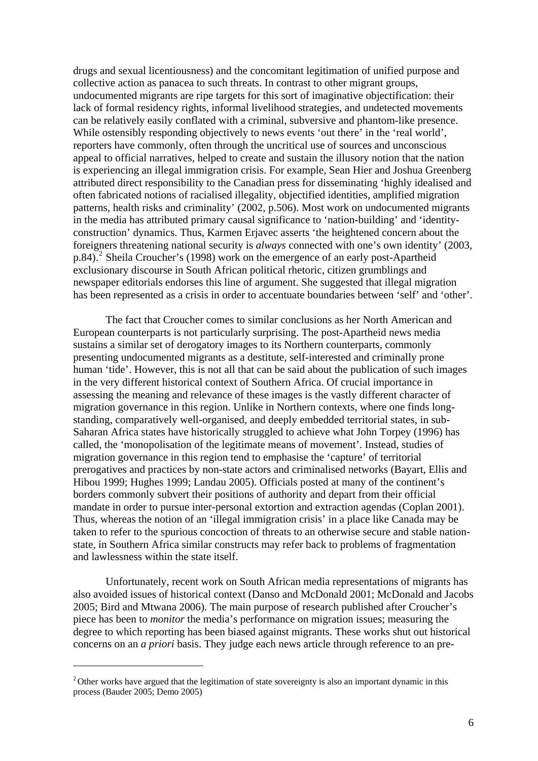drugs and sexual licentiousness) and the concomitant legitimation of unified purpose and collective action as panacea to such threats. In contrast to other migrant groups, undocumented migrants are ripe targets for this sort of imaginative objectification: their lack of formal residency rights, informal livelihood strategies, and undetected movements can be relatively easily conflated with a criminal, subversive and phantom-like presence. While ostensibly responding objectively to news events 'out there' in the 'real world', reporters have commonly, often through the uncritical use of sources and unconscious appeal to official narratives, helped to create and sustain the illusory notion that the nation is experiencing an illegal immigration crisis. For example, Sean Hier and Joshua Greenberg attributed direct responsibility to the Canadian press for disseminating 'highly idealised and often fabricated notions of racialised illegality, objectified identities, amplified migration patterns, health risks and criminality' (2002, p.506). Most work on undocumented migrants in the media has attributed primary causal significance to 'nation-building' and 'identityconstruction' dynamics. Thus, Karmen Erjavec asserts 'the heightened concern about the foreigners threatening national security is *always* connected with one's own identity' (2003, p.84).<sup>[2](#page-7-0)</sup> Sheila Croucher's (1998) work on the emergence of an early post-Apartheid exclusionary discourse in South African political rhetoric, citizen grumblings and newspaper editorials endorses this line of argument. She suggested that illegal migration has been represented as a crisis in order to accentuate boundaries between 'self' and 'other'.

 The fact that Croucher comes to similar conclusions as her North American and European counterparts is not particularly surprising. The post-Apartheid news media sustains a similar set of derogatory images to its Northern counterparts, commonly presenting undocumented migrants as a destitute, self-interested and criminally prone human 'tide'. However, this is not all that can be said about the publication of such images in the very different historical context of Southern Africa. Of crucial importance in assessing the meaning and relevance of these images is the vastly different character of migration governance in this region. Unlike in Northern contexts, where one finds longstanding, comparatively well-organised, and deeply embedded territorial states, in sub-Saharan Africa states have historically struggled to achieve what John Torpey (1996) has called, the 'monopolisation of the legitimate means of movement'. Instead, studies of migration governance in this region tend to emphasise the 'capture' of territorial prerogatives and practices by non-state actors and criminalised networks (Bayart, Ellis and Hibou 1999; Hughes 1999; Landau 2005). Officials posted at many of the continent's borders commonly subvert their positions of authority and depart from their official mandate in order to pursue inter-personal extortion and extraction agendas (Coplan 2001). Thus, whereas the notion of an 'illegal immigration crisis' in a place like Canada may be taken to refer to the spurious concoction of threats to an otherwise secure and stable nationstate, in Southern Africa similar constructs may refer back to problems of fragmentation and lawlessness within the state itself.

Unfortunately, recent work on South African media representations of migrants has also avoided issues of historical context (Danso and McDonald 2001; McDonald and Jacobs 2005; Bird and Mtwana 2006). The main purpose of research published after Croucher's piece has been to *monitor* the media's performance on migration issues; measuring the degree to which reporting has been biased against migrants. These works shut out historical concerns on an *a priori* basis. They judge each news article through reference to an pre-

<span id="page-7-0"></span><sup>&</sup>lt;sup>2</sup> Other works have argued that the legitimation of state sovereignty is also an important dynamic in this process (Bauder 2005; Demo 2005)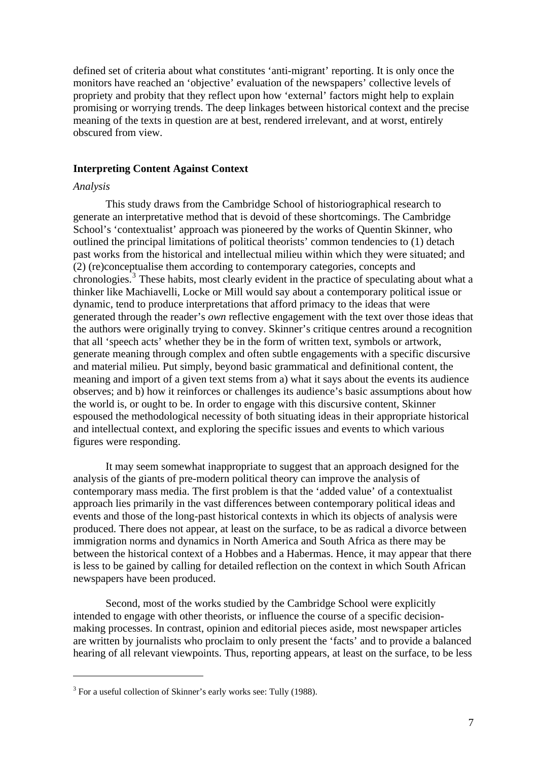<span id="page-8-0"></span>defined set of criteria about what constitutes 'anti-migrant' reporting. It is only once the monitors have reached an 'objective' evaluation of the newspapers' collective levels of propriety and probity that they reflect upon how 'external' factors might help to explain promising or worrying trends. The deep linkages between historical context and the precise meaning of the texts in question are at best, rendered irrelevant, and at worst, entirely obscured from view.

### **Interpreting Content Against Context**

### *Analysis*

<u>.</u>

This study draws from the Cambridge School of historiographical research to generate an interpretative method that is devoid of these shortcomings. The Cambridge School's 'contextualist' approach was pioneered by the works of Quentin Skinner, who outlined the principal limitations of political theorists' common tendencies to (1) detach past works from the historical and intellectual milieu within which they were situated; and (2) (re)conceptualise them according to contemporary categories, concepts and chronologies.<sup>[3](#page-8-1)</sup> These habits, most clearly evident in the practice of speculating about what a thinker like Machiavelli, Locke or Mill would say about a contemporary political issue or dynamic, tend to produce interpretations that afford primacy to the ideas that were generated through the reader's *own* reflective engagement with the text over those ideas that the authors were originally trying to convey. Skinner's critique centres around a recognition that all 'speech acts' whether they be in the form of written text, symbols or artwork, generate meaning through complex and often subtle engagements with a specific discursive and material milieu. Put simply, beyond basic grammatical and definitional content, the meaning and import of a given text stems from a) what it says about the events its audience observes; and b) how it reinforces or challenges its audience's basic assumptions about how the world is, or ought to be. In order to engage with this discursive content, Skinner espoused the methodological necessity of both situating ideas in their appropriate historical and intellectual context, and exploring the specific issues and events to which various figures were responding.

It may seem somewhat inappropriate to suggest that an approach designed for the analysis of the giants of pre-modern political theory can improve the analysis of contemporary mass media. The first problem is that the 'added value' of a contextualist approach lies primarily in the vast differences between contemporary political ideas and events and those of the long-past historical contexts in which its objects of analysis were produced. There does not appear, at least on the surface, to be as radical a divorce between immigration norms and dynamics in North America and South Africa as there may be between the historical context of a Hobbes and a Habermas. Hence, it may appear that there is less to be gained by calling for detailed reflection on the context in which South African newspapers have been produced.

 Second, most of the works studied by the Cambridge School were explicitly intended to engage with other theorists, or influence the course of a specific decisionmaking processes. In contrast, opinion and editorial pieces aside, most newspaper articles are written by journalists who proclaim to only present the 'facts' and to provide a balanced hearing of all relevant viewpoints. Thus, reporting appears, at least on the surface, to be less

<span id="page-8-1"></span> $3$  For a useful collection of Skinner's early works see: Tully (1988).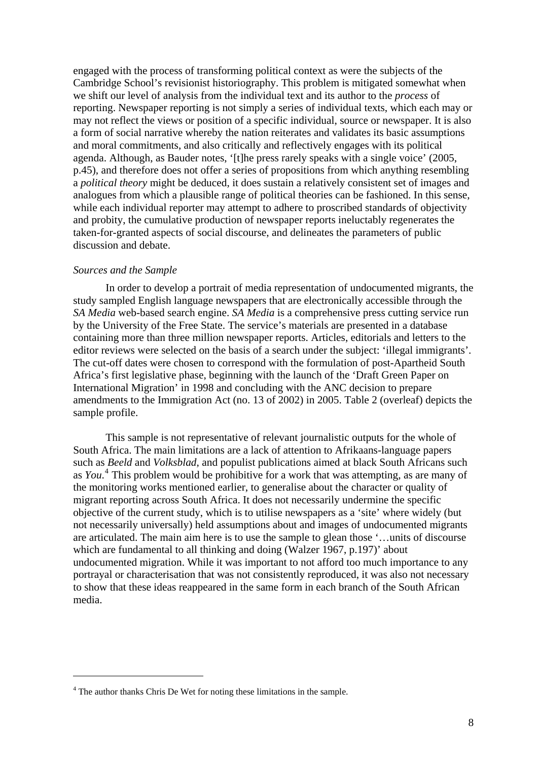engaged with the process of transforming political context as were the subjects of the Cambridge School's revisionist historiography. This problem is mitigated somewhat when we shift our level of analysis from the individual text and its author to the *process* of reporting. Newspaper reporting is not simply a series of individual texts, which each may or may not reflect the views or position of a specific individual, source or newspaper. It is also a form of social narrative whereby the nation reiterates and validates its basic assumptions and moral commitments, and also critically and reflectively engages with its political agenda. Although, as Bauder notes, '[t]he press rarely speaks with a single voice' (2005, p.45), and therefore does not offer a series of propositions from which anything resembling a *political theory* might be deduced, it does sustain a relatively consistent set of images and analogues from which a plausible range of political theories can be fashioned. In this sense, while each individual reporter may attempt to adhere to proscribed standards of objectivity and probity, the cumulative production of newspaper reports ineluctably regenerates the taken-for-granted aspects of social discourse, and delineates the parameters of public discussion and debate.

### *Sources and the Sample*

<u>.</u>

In order to develop a portrait of media representation of undocumented migrants, the study sampled English language newspapers that are electronically accessible through the *SA Media* web-based search engine. *SA Media* is a comprehensive press cutting service run by the University of the Free State. The service's materials are presented in a database containing more than three million newspaper reports. Articles, editorials and letters to the editor reviews were selected on the basis of a search under the subject: 'illegal immigrants'. The cut-off dates were chosen to correspond with the formulation of post-Apartheid South Africa's first legislative phase, beginning with the launch of the 'Draft Green Paper on International Migration' in 1998 and concluding with the ANC decision to prepare amendments to the Immigration Act (no. 13 of 2002) in 2005. Table 2 (overleaf) depicts the sample profile.

 This sample is not representative of relevant journalistic outputs for the whole of South Africa. The main limitations are a lack of attention to Afrikaans-language papers such as *Beeld* and *Volksblad*, and populist publications aimed at black South Africans such as *You*. [4](#page-9-0) This problem would be prohibitive for a work that was attempting, as are many of the monitoring works mentioned earlier, to generalise about the character or quality of migrant reporting across South Africa. It does not necessarily undermine the specific objective of the current study, which is to utilise newspapers as a 'site' where widely (but not necessarily universally) held assumptions about and images of undocumented migrants are articulated. The main aim here is to use the sample to glean those '…units of discourse which are fundamental to all thinking and doing (Walzer 1967, p.197)' about undocumented migration. While it was important to not afford too much importance to any portrayal or characterisation that was not consistently reproduced, it was also not necessary to show that these ideas reappeared in the same form in each branch of the South African media.

<span id="page-9-0"></span><sup>&</sup>lt;sup>4</sup> The author thanks Chris De Wet for noting these limitations in the sample.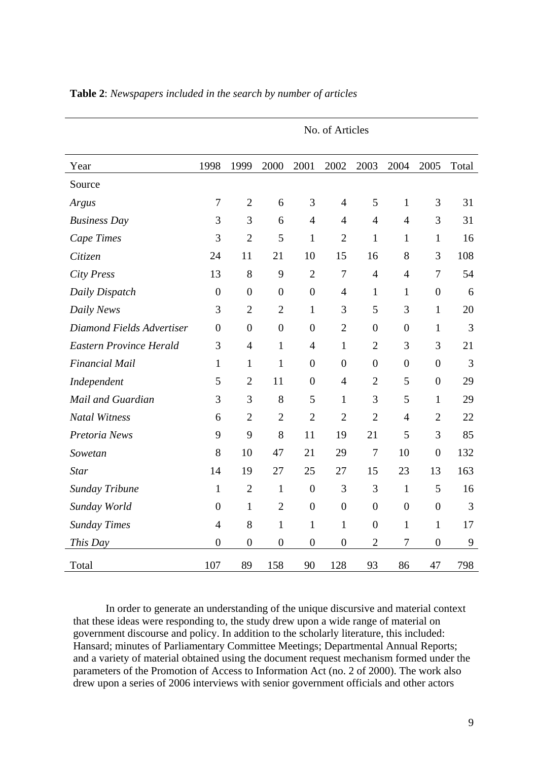| Year                           | 1998             | 1999             | 2000             | 2001             | 2002             | 2003             | 2004             | 2005             | Total |
|--------------------------------|------------------|------------------|------------------|------------------|------------------|------------------|------------------|------------------|-------|
| Source                         |                  |                  |                  |                  |                  |                  |                  |                  |       |
| Argus                          | $\tau$           | $\overline{2}$   | 6                | 3                | $\overline{4}$   | 5                | $\mathbf{1}$     | 3                | 31    |
| <b>Business Day</b>            | 3                | 3                | 6                | $\overline{4}$   | 4                | $\overline{4}$   | $\overline{4}$   | 3                | 31    |
| Cape Times                     | 3                | $\overline{2}$   | 5                | $\mathbf{1}$     | $\overline{2}$   | 1                | $\mathbf{1}$     | $\mathbf{1}$     | 16    |
| Citizen                        | 24               | 11               | 21               | 10               | 15               | 16               | 8                | 3                | 108   |
| <b>City Press</b>              | 13               | 8                | 9                | $\overline{2}$   | $\overline{7}$   | $\overline{4}$   | $\overline{4}$   | 7                | 54    |
| Daily Dispatch                 | $\boldsymbol{0}$ | $\boldsymbol{0}$ | $\boldsymbol{0}$ | $\boldsymbol{0}$ | $\overline{4}$   | $\mathbf{1}$     | $\mathbf{1}$     | $\boldsymbol{0}$ | 6     |
| Daily News                     | 3                | $\overline{2}$   | $\overline{2}$   | 1                | 3                | 5                | 3                | 1                | 20    |
| Diamond Fields Advertiser      | $\overline{0}$   | $\boldsymbol{0}$ | $\boldsymbol{0}$ | $\boldsymbol{0}$ | $\overline{2}$   | $\boldsymbol{0}$ | $\boldsymbol{0}$ | $\mathbf{1}$     | 3     |
| <b>Eastern Province Herald</b> | 3                | $\overline{4}$   | $\mathbf{1}$     | $\overline{4}$   | $\mathbf{1}$     | $\overline{2}$   | 3                | 3                | 21    |
| <b>Financial Mail</b>          | 1                | $\mathbf{1}$     | 1                | $\theta$         | $\overline{0}$   | $\overline{0}$   | $\overline{0}$   | $\overline{0}$   | 3     |
| Independent                    | 5                | $\overline{2}$   | 11               | $\overline{0}$   | $\overline{4}$   | $\overline{2}$   | 5                | $\overline{0}$   | 29    |
| Mail and Guardian              | 3                | 3                | 8                | 5                | 1                | 3                | 5                | $\mathbf{1}$     | 29    |
| <b>Natal Witness</b>           | 6                | $\overline{2}$   | $\overline{2}$   | $\overline{2}$   | $\overline{2}$   | $\overline{2}$   | $\overline{4}$   | $\overline{2}$   | 22    |
| Pretoria News                  | 9                | 9                | 8                | 11               | 19               | 21               | 5                | 3                | 85    |
| Sowetan                        | 8                | 10               | 47               | 21               | 29               | $\boldsymbol{7}$ | 10               | $\boldsymbol{0}$ | 132   |
| <b>Star</b>                    | 14               | 19               | 27               | 25               | 27               | 15               | 23               | 13               | 163   |
| <b>Sunday Tribune</b>          | $\mathbf{1}$     | $\overline{2}$   | $\mathbf{1}$     | $\boldsymbol{0}$ | 3                | 3                | $\mathbf{1}$     | 5                | 16    |
| Sunday World                   | $\overline{0}$   | $\mathbf{1}$     | $\overline{2}$   | $\boldsymbol{0}$ | $\boldsymbol{0}$ | $\boldsymbol{0}$ | $\boldsymbol{0}$ | $\boldsymbol{0}$ | 3     |
| <b>Sunday Times</b>            | $\overline{4}$   | 8                | 1                | 1                | $\mathbf{1}$     | $\boldsymbol{0}$ | $\mathbf{1}$     | $\mathbf{1}$     | 17    |
| This Day                       | $\overline{0}$   | $\boldsymbol{0}$ | $\boldsymbol{0}$ | $\boldsymbol{0}$ | $\boldsymbol{0}$ | $\overline{2}$   | 7                | $\boldsymbol{0}$ | 9     |
| Total                          | 107              | 89               | 158              | 90               | 128              | 93               | 86               | 47               | 798   |

No. of Articles

**Table 2**: *Newspapers included in the search by number of articles* 

In order to generate an understanding of the unique discursive and material context that these ideas were responding to, the study drew upon a wide range of material on government discourse and policy. In addition to the scholarly literature, this included: Hansard; minutes of Parliamentary Committee Meetings; Departmental Annual Reports; and a variety of material obtained using the document request mechanism formed under the parameters of the Promotion of Access to Information Act (no. 2 of 2000). The work also drew upon a series of 2006 interviews with senior government officials and other actors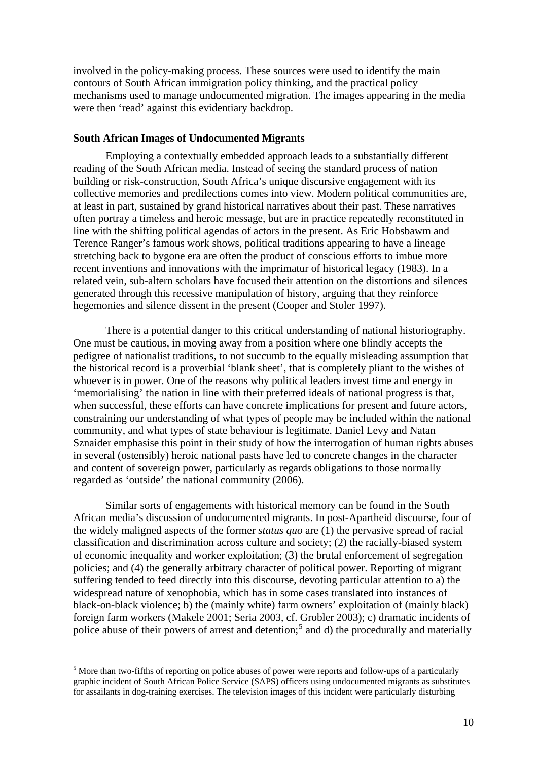<span id="page-11-0"></span>involved in the policy-making process. These sources were used to identify the main contours of South African immigration policy thinking, and the practical policy mechanisms used to manage undocumented migration. The images appearing in the media were then 'read' against this evidentiary backdrop.

### **South African Images of Undocumented Migrants**

Employing a contextually embedded approach leads to a substantially different reading of the South African media. Instead of seeing the standard process of nation building or risk-construction, South Africa's unique discursive engagement with its collective memories and predilections comes into view. Modern political communities are, at least in part, sustained by grand historical narratives about their past. These narratives often portray a timeless and heroic message, but are in practice repeatedly reconstituted in line with the shifting political agendas of actors in the present. As Eric Hobsbawm and Terence Ranger's famous work shows, political traditions appearing to have a lineage stretching back to bygone era are often the product of conscious efforts to imbue more recent inventions and innovations with the imprimatur of historical legacy (1983). In a related vein, sub-altern scholars have focused their attention on the distortions and silences generated through this recessive manipulation of history, arguing that they reinforce hegemonies and silence dissent in the present (Cooper and Stoler 1997).

There is a potential danger to this critical understanding of national historiography. One must be cautious, in moving away from a position where one blindly accepts the pedigree of nationalist traditions, to not succumb to the equally misleading assumption that the historical record is a proverbial 'blank sheet', that is completely pliant to the wishes of whoever is in power. One of the reasons why political leaders invest time and energy in 'memorialising' the nation in line with their preferred ideals of national progress is that, when successful, these efforts can have concrete implications for present and future actors, constraining our understanding of what types of people may be included within the national community, and what types of state behaviour is legitimate. Daniel Levy and Natan Sznaider emphasise this point in their study of how the interrogation of human rights abuses in several (ostensibly) heroic national pasts have led to concrete changes in the character and content of sovereign power, particularly as regards obligations to those normally regarded as 'outside' the national community (2006).

Similar sorts of engagements with historical memory can be found in the South African media's discussion of undocumented migrants. In post-Apartheid discourse, four of the widely maligned aspects of the former *status quo* are (1) the pervasive spread of racial classification and discrimination across culture and society; (2) the racially-biased system of economic inequality and worker exploitation; (3) the brutal enforcement of segregation policies; and (4) the generally arbitrary character of political power. Reporting of migrant suffering tended to feed directly into this discourse, devoting particular attention to a) the widespread nature of xenophobia, which has in some cases translated into instances of black-on-black violence; b) the (mainly white) farm owners' exploitation of (mainly black) foreign farm workers (Makele 2001; Seria 2003, cf. Grobler 2003); c) dramatic incidents of police abuse of their powers of arrest and detention;<sup>[5](#page-11-1)</sup> and d) the procedurally and materially

<span id="page-11-1"></span><sup>&</sup>lt;sup>5</sup> More than two-fifths of reporting on police abuses of power were reports and follow-ups of a particularly graphic incident of South African Police Service (SAPS) officers using undocumented migrants as substitutes for assailants in dog-training exercises. The television images of this incident were particularly disturbing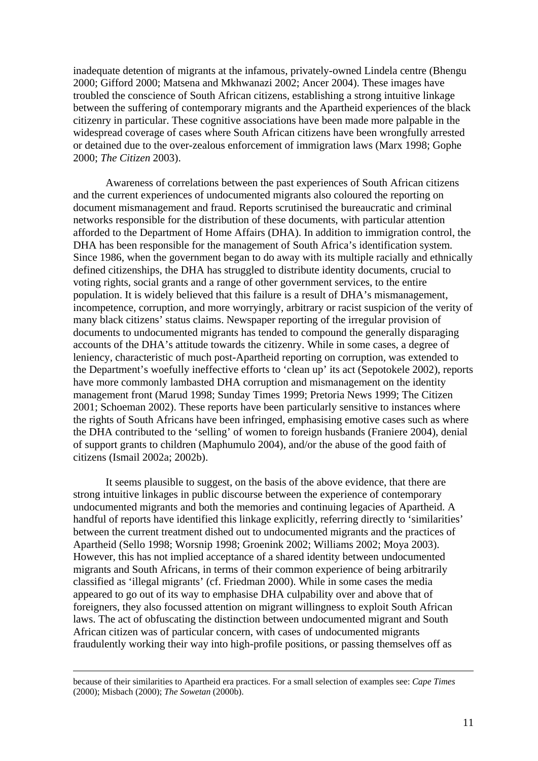inadequate detention of migrants at the infamous, privately-owned Lindela centre (Bhengu 2000; Gifford 2000; Matsena and Mkhwanazi 2002; Ancer 2004). These images have troubled the conscience of South African citizens, establishing a strong intuitive linkage between the suffering of contemporary migrants and the Apartheid experiences of the black citizenry in particular. These cognitive associations have been made more palpable in the widespread coverage of cases where South African citizens have been wrongfully arrested or detained due to the over-zealous enforcement of immigration laws (Marx 1998; Gophe 2000; *The Citizen* 2003).

 Awareness of correlations between the past experiences of South African citizens and the current experiences of undocumented migrants also coloured the reporting on document mismanagement and fraud. Reports scrutinised the bureaucratic and criminal networks responsible for the distribution of these documents, with particular attention afforded to the Department of Home Affairs (DHA). In addition to immigration control, the DHA has been responsible for the management of South Africa's identification system. Since 1986, when the government began to do away with its multiple racially and ethnically defined citizenships, the DHA has struggled to distribute identity documents, crucial to voting rights, social grants and a range of other government services, to the entire population. It is widely believed that this failure is a result of DHA's mismanagement, incompetence, corruption, and more worryingly, arbitrary or racist suspicion of the verity of many black citizens' status claims. Newspaper reporting of the irregular provision of documents to undocumented migrants has tended to compound the generally disparaging accounts of the DHA's attitude towards the citizenry. While in some cases, a degree of leniency, characteristic of much post-Apartheid reporting on corruption, was extended to the Department's woefully ineffective efforts to 'clean up' its act (Sepotokele 2002), reports have more commonly lambasted DHA corruption and mismanagement on the identity management front (Marud 1998; Sunday Times 1999; Pretoria News 1999; The Citizen 2001; Schoeman 2002). These reports have been particularly sensitive to instances where the rights of South Africans have been infringed, emphasising emotive cases such as where the DHA contributed to the 'selling' of women to foreign husbands (Franiere 2004), denial of support grants to children (Maphumulo 2004), and/or the abuse of the good faith of citizens (Ismail 2002a; 2002b).

 It seems plausible to suggest, on the basis of the above evidence, that there are strong intuitive linkages in public discourse between the experience of contemporary undocumented migrants and both the memories and continuing legacies of Apartheid. A handful of reports have identified this linkage explicitly, referring directly to 'similarities' between the current treatment dished out to undocumented migrants and the practices of Apartheid (Sello 1998; Worsnip 1998; Groenink 2002; Williams 2002; Moya 2003). However, this has not implied acceptance of a shared identity between undocumented migrants and South Africans, in terms of their common experience of being arbitrarily classified as 'illegal migrants' (cf. Friedman 2000). While in some cases the media appeared to go out of its way to emphasise DHA culpability over and above that of foreigners, they also focussed attention on migrant willingness to exploit South African laws. The act of obfuscating the distinction between undocumented migrant and South African citizen was of particular concern, with cases of undocumented migrants fraudulently working their way into high-profile positions, or passing themselves off as

because of their similarities to Apartheid era practices. For a small selection of examples see: *Cape Times* (2000); Misbach (2000); *The Sowetan* (2000b).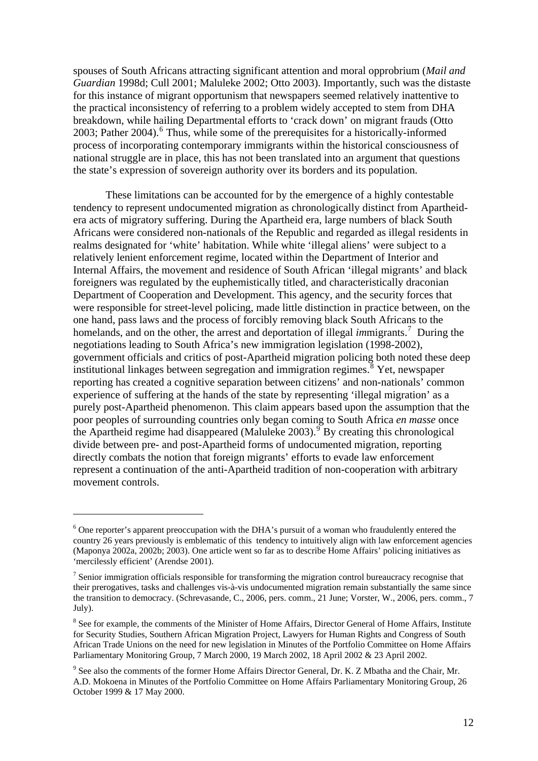spouses of South Africans attracting significant attention and moral opprobrium (*Mail and Guardian* 1998d; Cull 2001; Maluleke 2002; Otto 2003). Importantly, such was the distaste for this instance of migrant opportunism that newspapers seemed relatively inattentive to the practical inconsistency of referring to a problem widely accepted to stem from DHA breakdown, while hailing Departmental efforts to 'crack down' on migrant frauds (Otto 2003; Pather 2004). <sup>[6](#page-13-0)</sup> Thus, while some of the prerequisites for a historically-informed process of incorporating contemporary immigrants within the historical consciousness of national struggle are in place, this has not been translated into an argument that questions the state's expression of sovereign authority over its borders and its population.

 These limitations can be accounted for by the emergence of a highly contestable tendency to represent undocumented migration as chronologically distinct from Apartheidera acts of migratory suffering. During the Apartheid era, large numbers of black South Africans were considered non-nationals of the Republic and regarded as illegal residents in realms designated for 'white' habitation. While white 'illegal aliens' were subject to a relatively lenient enforcement regime, located within the Department of Interior and Internal Affairs, the movement and residence of South African 'illegal migrants' and black foreigners was regulated by the euphemistically titled, and characteristically draconian Department of Cooperation and Development. This agency, and the security forces that were responsible for street-level policing, made little distinction in practice between, on the one hand, pass laws and the process of forcibly removing black South Africans to the homelands, and on the other, the arrest and deportation of illegal *immigrants*.<sup>[7](#page-13-1)</sup> During the negotiations leading to South Africa's new immigration legislation (1998-2002), government officials and critics of post-Apartheid migration policing both noted these deep institutional linkages between segregation and immigration regimes.<sup>[8](#page-13-2)</sup> Yet, newspaper reporting has created a cognitive separation between citizens' and non-nationals' common experience of suffering at the hands of the state by representing 'illegal migration' as a purely post-Apartheid phenomenon. This claim appears based upon the assumption that the poor peoples of surrounding countries only began coming to South Africa *en masse* once the Apartheid regime had disappeared (Maluleke 2003).<sup>[9](#page-13-3)</sup> By creating this chronological divide between pre- and post-Apartheid forms of undocumented migration, reporting directly combats the notion that foreign migrants' efforts to evade law enforcement represent a continuation of the anti-Apartheid tradition of non-cooperation with arbitrary movement controls.

<span id="page-13-0"></span><sup>&</sup>lt;sup>6</sup> One reporter's apparent preoccupation with the DHA's pursuit of a woman who fraudulently entered the country 26 years previously is emblematic of this tendency to intuitively align with law enforcement agencies (Maponya 2002a, 2002b; 2003). One article went so far as to describe Home Affairs' policing initiatives as 'mercilessly efficient' (Arendse 2001).

<span id="page-13-1"></span> $<sup>7</sup>$  Senior immigration officials responsible for transforming the migration control bureaucracy recognise that</sup> their prerogatives, tasks and challenges vis-à-vis undocumented migration remain substantially the same since the transition to democracy. (Schrevasande, C., 2006, pers. comm., 21 June; Vorster, W., 2006, pers. comm., 7 July).

<span id="page-13-2"></span><sup>&</sup>lt;sup>8</sup> See for example, the comments of the Minister of Home Affairs, Director General of Home Affairs, Institute for Security Studies, Southern African Migration Project, Lawyers for Human Rights and Congress of South African Trade Unions on the need for new legislation in Minutes of the Portfolio Committee on Home Affairs Parliamentary Monitoring Group, 7 March 2000, 19 March 2002, 18 April 2002 & 23 April 2002.

<span id="page-13-3"></span><sup>&</sup>lt;sup>9</sup> See also the comments of the former Home Affairs Director General, Dr. K. Z Mbatha and the Chair, Mr. A.D. Mokoena in Minutes of the Portfolio Committee on Home Affairs Parliamentary Monitoring Group, 26 October 1999 & 17 May 2000.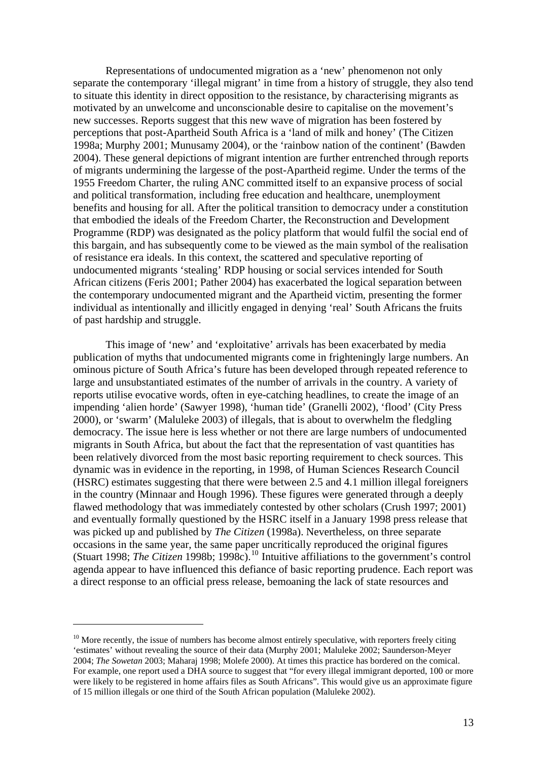Representations of undocumented migration as a 'new' phenomenon not only separate the contemporary 'illegal migrant' in time from a history of struggle, they also tend to situate this identity in direct opposition to the resistance, by characterising migrants as motivated by an unwelcome and unconscionable desire to capitalise on the movement's new successes. Reports suggest that this new wave of migration has been fostered by perceptions that post-Apartheid South Africa is a 'land of milk and honey' (The Citizen 1998a; Murphy 2001; Munusamy 2004), or the 'rainbow nation of the continent' (Bawden 2004). These general depictions of migrant intention are further entrenched through reports of migrants undermining the largesse of the post-Apartheid regime. Under the terms of the 1955 Freedom Charter, the ruling ANC committed itself to an expansive process of social and political transformation, including free education and healthcare, unemployment benefits and housing for all. After the political transition to democracy under a constitution that embodied the ideals of the Freedom Charter, the Reconstruction and Development Programme (RDP) was designated as the policy platform that would fulfil the social end of this bargain, and has subsequently come to be viewed as the main symbol of the realisation of resistance era ideals. In this context, the scattered and speculative reporting of undocumented migrants 'stealing' RDP housing or social services intended for South African citizens (Feris 2001; Pather 2004) has exacerbated the logical separation between the contemporary undocumented migrant and the Apartheid victim, presenting the former individual as intentionally and illicitly engaged in denying 'real' South Africans the fruits of past hardship and struggle.

 This image of 'new' and 'exploitative' arrivals has been exacerbated by media publication of myths that undocumented migrants come in frighteningly large numbers. An ominous picture of South Africa's future has been developed through repeated reference to large and unsubstantiated estimates of the number of arrivals in the country. A variety of reports utilise evocative words, often in eye-catching headlines, to create the image of an impending 'alien horde' (Sawyer 1998), 'human tide' (Granelli 2002), 'flood' (City Press 2000), or 'swarm' (Maluleke 2003) of illegals, that is about to overwhelm the fledgling democracy. The issue here is less whether or not there are large numbers of undocumented migrants in South Africa, but about the fact that the representation of vast quantities has been relatively divorced from the most basic reporting requirement to check sources. This dynamic was in evidence in the reporting, in 1998, of Human Sciences Research Council (HSRC) estimates suggesting that there were between 2.5 and 4.1 million illegal foreigners in the country (Minnaar and Hough 1996). These figures were generated through a deeply flawed methodology that was immediately contested by other scholars (Crush 1997; 2001) and eventually formally questioned by the HSRC itself in a January 1998 press release that was picked up and published by *The Citizen* (1998a). Nevertheless, on three separate occasions in the same year, the same paper uncritically reproduced the original figures (Stuart 1998; *The Citizen* 1998b; 1998c).<sup>[10](#page-14-0)</sup> Intuitive affiliations to the government's control agenda appear to have influenced this defiance of basic reporting prudence. Each report was a direct response to an official press release, bemoaning the lack of state resources and

<span id="page-14-0"></span> $10$  More recently, the issue of numbers has become almost entirely speculative, with reporters freely citing 'estimates' without revealing the source of their data (Murphy 2001; Maluleke 2002; Saunderson-Meyer 2004; *The Sowetan* 2003; Maharaj 1998; Molefe 2000). At times this practice has bordered on the comical. For example, one report used a DHA source to suggest that "for every illegal immigrant deported, 100 or more were likely to be registered in home affairs files as South Africans". This would give us an approximate figure of 15 million illegals or one third of the South African population (Maluleke 2002).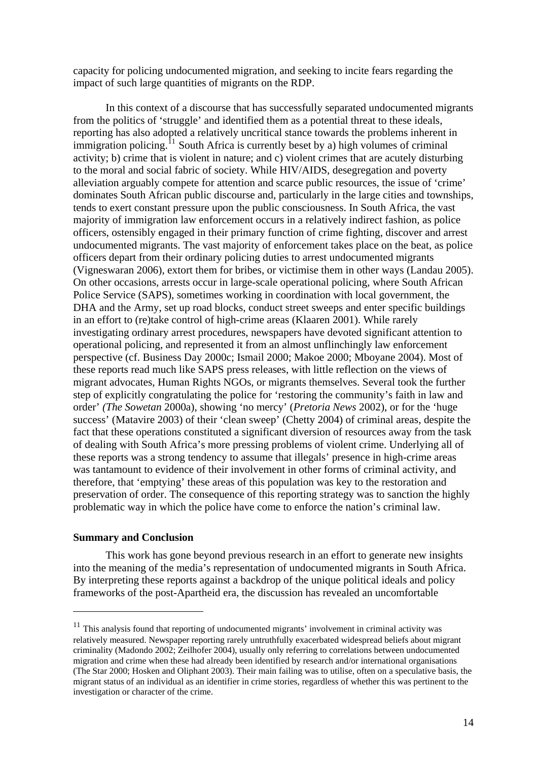<span id="page-15-0"></span>capacity for policing undocumented migration, and seeking to incite fears regarding the impact of such large quantities of migrants on the RDP.

 In this context of a discourse that has successfully separated undocumented migrants from the politics of 'struggle' and identified them as a potential threat to these ideals, reporting has also adopted a relatively uncritical stance towards the problems inherent in immigration policing.<sup>[11](#page-15-1)</sup> South Africa is currently beset by a) high volumes of criminal activity; b) crime that is violent in nature; and c) violent crimes that are acutely disturbing to the moral and social fabric of society. While HIV/AIDS, desegregation and poverty alleviation arguably compete for attention and scarce public resources, the issue of 'crime' dominates South African public discourse and, particularly in the large cities and townships, tends to exert constant pressure upon the public consciousness. In South Africa, the vast majority of immigration law enforcement occurs in a relatively indirect fashion, as police officers, ostensibly engaged in their primary function of crime fighting, discover and arrest undocumented migrants. The vast majority of enforcement takes place on the beat, as police officers depart from their ordinary policing duties to arrest undocumented migrants (Vigneswaran 2006), extort them for bribes, or victimise them in other ways (Landau 2005). On other occasions, arrests occur in large-scale operational policing, where South African Police Service (SAPS), sometimes working in coordination with local government, the DHA and the Army, set up road blocks, conduct street sweeps and enter specific buildings in an effort to (re)take control of high-crime areas (Klaaren 2001). While rarely investigating ordinary arrest procedures, newspapers have devoted significant attention to operational policing, and represented it from an almost unflinchingly law enforcement perspective (cf. Business Day 2000c; Ismail 2000; Makoe 2000; Mboyane 2004). Most of these reports read much like SAPS press releases, with little reflection on the views of migrant advocates, Human Rights NGOs, or migrants themselves. Several took the further step of explicitly congratulating the police for 'restoring the community's faith in law and order' *(The Sowetan* 2000a), showing 'no mercy' (*Pretoria News* 2002), or for the 'huge success' (Matavire 2003) of their 'clean sweep' (Chetty 2004) of criminal areas, despite the fact that these operations constituted a significant diversion of resources away from the task of dealing with South Africa's more pressing problems of violent crime. Underlying all of these reports was a strong tendency to assume that illegals' presence in high-crime areas was tantamount to evidence of their involvement in other forms of criminal activity, and therefore, that 'emptying' these areas of this population was key to the restoration and preservation of order. The consequence of this reporting strategy was to sanction the highly problematic way in which the police have come to enforce the nation's criminal law.

### **Summary and Conclusion**

1

This work has gone beyond previous research in an effort to generate new insights into the meaning of the media's representation of undocumented migrants in South Africa. By interpreting these reports against a backdrop of the unique political ideals and policy frameworks of the post-Apartheid era, the discussion has revealed an uncomfortable

<span id="page-15-1"></span> $11$  This analysis found that reporting of undocumented migrants' involvement in criminal activity was relatively measured. Newspaper reporting rarely untruthfully exacerbated widespread beliefs about migrant criminality (Madondo 2002; Zeilhofer 2004), usually only referring to correlations between undocumented migration and crime when these had already been identified by research and/or international organisations (The Star 2000; Hosken and Oliphant 2003). Their main failing was to utilise, often on a speculative basis, the migrant status of an individual as an identifier in crime stories, regardless of whether this was pertinent to the investigation or character of the crime.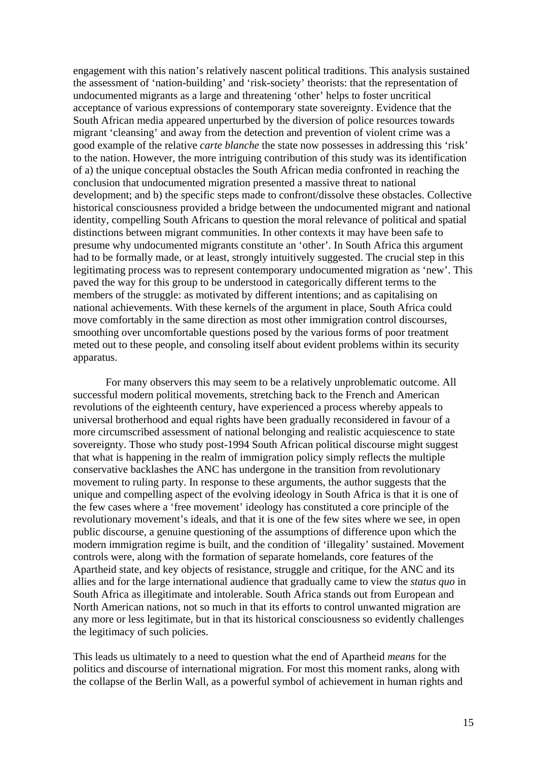engagement with this nation's relatively nascent political traditions. This analysis sustained the assessment of 'nation-building' and 'risk-society' theorists: that the representation of undocumented migrants as a large and threatening 'other' helps to foster uncritical acceptance of various expressions of contemporary state sovereignty. Evidence that the South African media appeared unperturbed by the diversion of police resources towards migrant 'cleansing' and away from the detection and prevention of violent crime was a good example of the relative *carte blanche* the state now possesses in addressing this 'risk' to the nation. However, the more intriguing contribution of this study was its identification of a) the unique conceptual obstacles the South African media confronted in reaching the conclusion that undocumented migration presented a massive threat to national development; and b) the specific steps made to confront/dissolve these obstacles. Collective historical consciousness provided a bridge between the undocumented migrant and national identity, compelling South Africans to question the moral relevance of political and spatial distinctions between migrant communities. In other contexts it may have been safe to presume why undocumented migrants constitute an 'other'. In South Africa this argument had to be formally made, or at least, strongly intuitively suggested. The crucial step in this legitimating process was to represent contemporary undocumented migration as 'new'. This paved the way for this group to be understood in categorically different terms to the members of the struggle: as motivated by different intentions; and as capitalising on national achievements. With these kernels of the argument in place, South Africa could move comfortably in the same direction as most other immigration control discourses, smoothing over uncomfortable questions posed by the various forms of poor treatment meted out to these people, and consoling itself about evident problems within its security apparatus.

 For many observers this may seem to be a relatively unproblematic outcome. All successful modern political movements, stretching back to the French and American revolutions of the eighteenth century, have experienced a process whereby appeals to universal brotherhood and equal rights have been gradually reconsidered in favour of a more circumscribed assessment of national belonging and realistic acquiescence to state sovereignty. Those who study post-1994 South African political discourse might suggest that what is happening in the realm of immigration policy simply reflects the multiple conservative backlashes the ANC has undergone in the transition from revolutionary movement to ruling party. In response to these arguments, the author suggests that the unique and compelling aspect of the evolving ideology in South Africa is that it is one of the few cases where a 'free movement' ideology has constituted a core principle of the revolutionary movement's ideals, and that it is one of the few sites where we see, in open public discourse, a genuine questioning of the assumptions of difference upon which the modern immigration regime is built, and the condition of 'illegality' sustained. Movement controls were, along with the formation of separate homelands, core features of the Apartheid state, and key objects of resistance, struggle and critique, for the ANC and its allies and for the large international audience that gradually came to view the *status quo* in South Africa as illegitimate and intolerable. South Africa stands out from European and North American nations, not so much in that its efforts to control unwanted migration are any more or less legitimate, but in that its historical consciousness so evidently challenges the legitimacy of such policies.

This leads us ultimately to a need to question what the end of Apartheid *means* for the politics and discourse of international migration. For most this moment ranks, along with the collapse of the Berlin Wall, as a powerful symbol of achievement in human rights and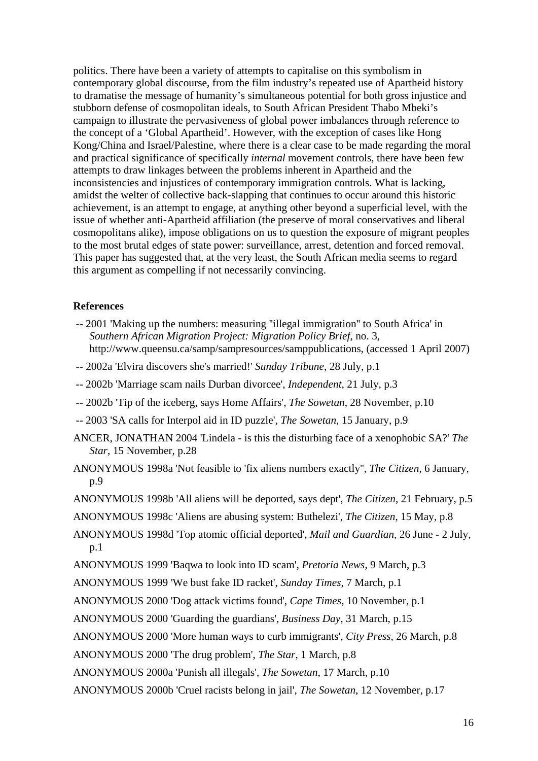<span id="page-17-0"></span>politics. There have been a variety of attempts to capitalise on this symbolism in contemporary global discourse, from the film industry's repeated use of Apartheid history to dramatise the message of humanity's simultaneous potential for both gross injustice and stubborn defense of cosmopolitan ideals, to South African President Thabo Mbeki's campaign to illustrate the pervasiveness of global power imbalances through reference to the concept of a 'Global Apartheid'. However, with the exception of cases like Hong Kong/China and Israel/Palestine, where there is a clear case to be made regarding the moral and practical significance of specifically *internal* movement controls, there have been few attempts to draw linkages between the problems inherent in Apartheid and the inconsistencies and injustices of contemporary immigration controls. What is lacking, amidst the welter of collective back-slapping that continues to occur around this historic achievement, is an attempt to engage, at anything other beyond a superficial level, with the issue of whether anti-Apartheid affiliation (the preserve of moral conservatives and liberal cosmopolitans alike), impose obligations on us to question the exposure of migrant peoples to the most brutal edges of state power: surveillance, arrest, detention and forced removal. This paper has suggested that, at the very least, the South African media seems to regard this argument as compelling if not necessarily convincing.

### **References**

- -- 2001 'Making up the numbers: measuring ''illegal immigration'' to South Africa' in *Southern African Migration Project: Migration Policy Brief*, no. 3, http://www.queensu.ca/samp/sampresources/samppublications, (accessed 1 April 2007)
- -- 2002a 'Elvira discovers she's married!' *Sunday Tribune*, 28 July, p.1
- -- 2002b 'Marriage scam nails Durban divorcee', *Independent*, 21 July, p.3
- -- 2002b 'Tip of the iceberg, says Home Affairs', *The Sowetan*, 28 November, p.10
- -- 2003 'SA calls for Interpol aid in ID puzzle', *The Sowetan*, 15 January, p.9
- ANCER, JONATHAN 2004 'Lindela is this the disturbing face of a xenophobic SA?' *The Star*, 15 November, p.28
- ANONYMOUS 1998a 'Not feasible to 'fix aliens numbers exactly'', *The Citizen*, 6 January, p.9
- ANONYMOUS 1998b 'All aliens will be deported, says dept', *The Citizen*, 21 February, p.5
- ANONYMOUS 1998c 'Aliens are abusing system: Buthelezi', *The Citizen*, 15 May, p.8
- ANONYMOUS 1998d 'Top atomic official deported', *Mail and Guardian*, 26 June 2 July, p.1
- ANONYMOUS 1999 'Baqwa to look into ID scam', *Pretoria News*, 9 March, p.3
- ANONYMOUS 1999 'We bust fake ID racket', *Sunday Times*, 7 March, p.1
- ANONYMOUS 2000 'Dog attack victims found', *Cape Times*, 10 November, p.1
- ANONYMOUS 2000 'Guarding the guardians', *Business Day*, 31 March, p.15
- ANONYMOUS 2000 'More human ways to curb immigrants', *City Press*, 26 March, p.8
- ANONYMOUS 2000 'The drug problem', *The Star*, 1 March, p.8
- ANONYMOUS 2000a 'Punish all illegals', *The Sowetan*, 17 March, p.10
- ANONYMOUS 2000b 'Cruel racists belong in jail', *The Sowetan*, 12 November, p.17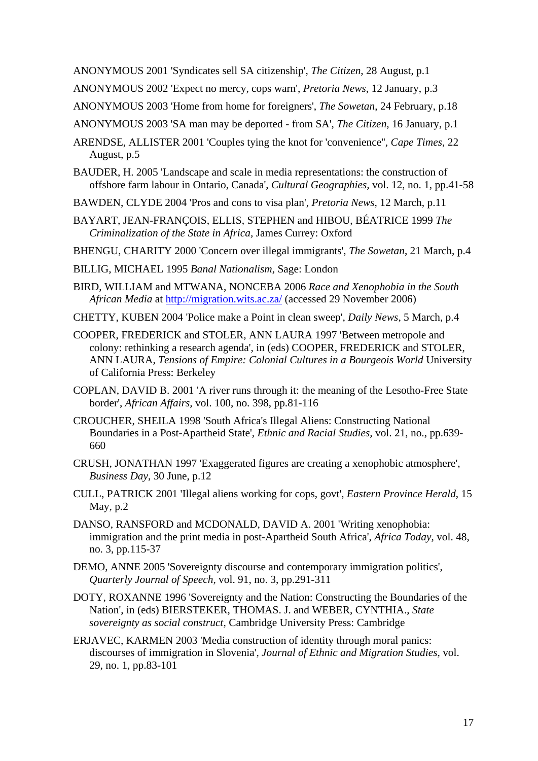ANONYMOUS 2001 'Syndicates sell SA citizenship', *The Citizen*, 28 August, p.1

ANONYMOUS 2002 'Expect no mercy, cops warn', *Pretoria News*, 12 January, p.3

ANONYMOUS 2003 'Home from home for foreigners', *The Sowetan*, 24 February, p.18

ANONYMOUS 2003 'SA man may be deported - from SA', *The Citizen*, 16 January, p.1

ARENDSE, ALLISTER 2001 'Couples tying the knot for 'convenience'', *Cape Times*, 22 August, p.5

- BAUDER, H. 2005 'Landscape and scale in media representations: the construction of offshore farm labour in Ontario, Canada', *Cultural Geographies,* vol. 12, no. 1, pp.41-58
- BAWDEN, CLYDE 2004 'Pros and cons to visa plan', *Pretoria News*, 12 March, p.11
- BAYART, JEAN-FRANÇOIS, ELLIS, STEPHEN and HIBOU, BÉATRICE 1999 *The Criminalization of the State in Africa,* James Currey: Oxford

BHENGU, CHARITY 2000 'Concern over illegal immigrants', *The Sowetan*, 21 March, p.4

- BILLIG, MICHAEL 1995 *Banal Nationalism,* Sage: London
- BIRD, WILLIAM and MTWANA, NONCEBA 2006 *Race and Xenophobia in the South African Media* at<http://migration.wits.ac.za/> (accessed 29 November 2006)
- CHETTY, KUBEN 2004 'Police make a Point in clean sweep', *Daily News*, 5 March, p.4
- COOPER, FREDERICK and STOLER, ANN LAURA 1997 'Between metropole and colony: rethinking a research agenda', in (eds) COOPER, FREDERICK and STOLER, ANN LAURA, *Tensions of Empire: Colonial Cultures in a Bourgeois World* University of California Press: Berkeley
- COPLAN, DAVID B. 2001 'A river runs through it: the meaning of the Lesotho-Free State border', *African Affairs,* vol. 100, no. 398, pp.81-116
- CROUCHER, SHEILA 1998 'South Africa's Illegal Aliens: Constructing National Boundaries in a Post-Apartheid State', *Ethnic and Racial Studies,* vol. 21, no., pp.639- 660
- CRUSH, JONATHAN 1997 'Exaggerated figures are creating a xenophobic atmosphere', *Business Day*, 30 June, p.12
- CULL, PATRICK 2001 'Illegal aliens working for cops, govt', *Eastern Province Herald*, 15 May, p.2
- DANSO, RANSFORD and MCDONALD, DAVID A. 2001 'Writing xenophobia: immigration and the print media in post-Apartheid South Africa', *Africa Today,* vol. 48, no. 3, pp.115-37
- DEMO, ANNE 2005 'Sovereignty discourse and contemporary immigration politics', *Quarterly Journal of Speech,* vol. 91, no. 3, pp.291-311
- DOTY, ROXANNE 1996 'Sovereignty and the Nation: Constructing the Boundaries of the Nation', in (eds) BIERSTEKER, THOMAS. J. and WEBER, CYNTHIA., *State sovereignty as social construct*, Cambridge University Press: Cambridge
- ERJAVEC, KARMEN 2003 'Media construction of identity through moral panics: discourses of immigration in Slovenia', *Journal of Ethnic and Migration Studies,* vol. 29, no. 1, pp.83-101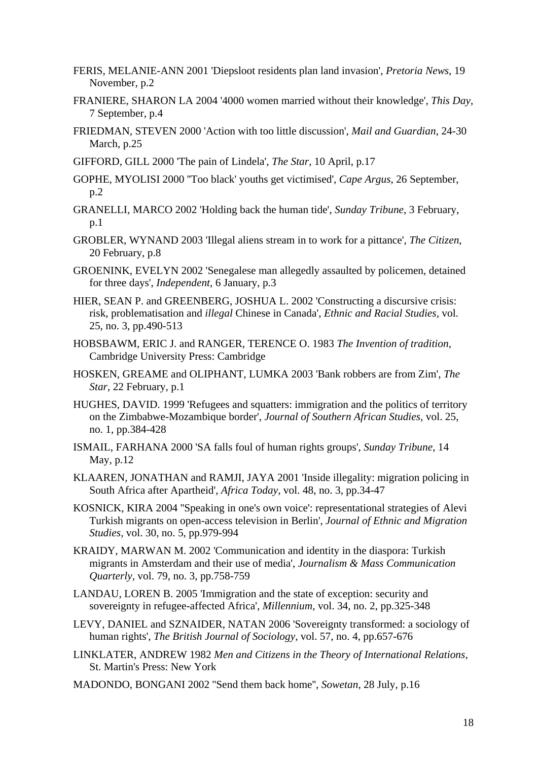- FERIS, MELANIE-ANN 2001 'Diepsloot residents plan land invasion', *Pretoria News*, 19 November, p.2
- FRANIERE, SHARON LA 2004 '4000 women married without their knowledge', *This Day*, 7 September, p.4
- FRIEDMAN, STEVEN 2000 'Action with too little discussion', *Mail and Guardian*, 24-30 March, p.25
- GIFFORD, GILL 2000 'The pain of Lindela', *The Star*, 10 April, p.17
- GOPHE, MYOLISI 2000 ''Too black' youths get victimised', *Cape Argus*, 26 September, p.2
- GRANELLI, MARCO 2002 'Holding back the human tide', *Sunday Tribune*, 3 February, p.1
- GROBLER, WYNAND 2003 'Illegal aliens stream in to work for a pittance', *The Citizen*, 20 February, p.8
- GROENINK, EVELYN 2002 'Senegalese man allegedly assaulted by policemen, detained for three days', *Independent*, 6 January, p.3
- HIER, SEAN P. and GREENBERG, JOSHUA L. 2002 'Constructing a discursive crisis: risk, problematisation and *illegal* Chinese in Canada', *Ethnic and Racial Studies,* vol. 25, no. 3, pp.490-513
- HOBSBAWM, ERIC J. and RANGER, TERENCE O. 1983 *The Invention of tradition,*  Cambridge University Press: Cambridge
- HOSKEN, GREAME and OLIPHANT, LUMKA 2003 'Bank robbers are from Zim', *The Star*, 22 February, p.1
- HUGHES, DAVID. 1999 'Refugees and squatters: immigration and the politics of territory on the Zimbabwe-Mozambique border', *Journal of Southern African Studies,* vol. 25, no. 1, pp.384-428
- ISMAIL, FARHANA 2000 'SA falls foul of human rights groups', *Sunday Tribune*, 14 May, p.12
- KLAAREN, JONATHAN and RAMJI, JAYA 2001 'Inside illegality: migration policing in South Africa after Apartheid', *Africa Today,* vol. 48, no. 3, pp.34-47
- KOSNICK, KIRA 2004 ''Speaking in one's own voice': representational strategies of Alevi Turkish migrants on open-access television in Berlin', *Journal of Ethnic and Migration Studies,* vol. 30, no. 5, pp.979-994
- KRAIDY, MARWAN M. 2002 'Communication and identity in the diaspora: Turkish migrants in Amsterdam and their use of media', *Journalism & Mass Communication Quarterly,* vol. 79, no. 3, pp.758-759
- LANDAU, LOREN B. 2005 'Immigration and the state of exception: security and sovereignty in refugee-affected Africa', *Millennium,* vol. 34, no. 2, pp.325-348
- LEVY, DANIEL and SZNAIDER, NATAN 2006 'Sovereignty transformed: a sociology of human rights', *The British Journal of Sociology,* vol. 57, no. 4, pp.657-676
- LINKLATER, ANDREW 1982 *Men and Citizens in the Theory of International Relations,*  St. Martin's Press: New York
- MADONDO, BONGANI 2002 ''Send them back home'', *Sowetan*, 28 July, p.16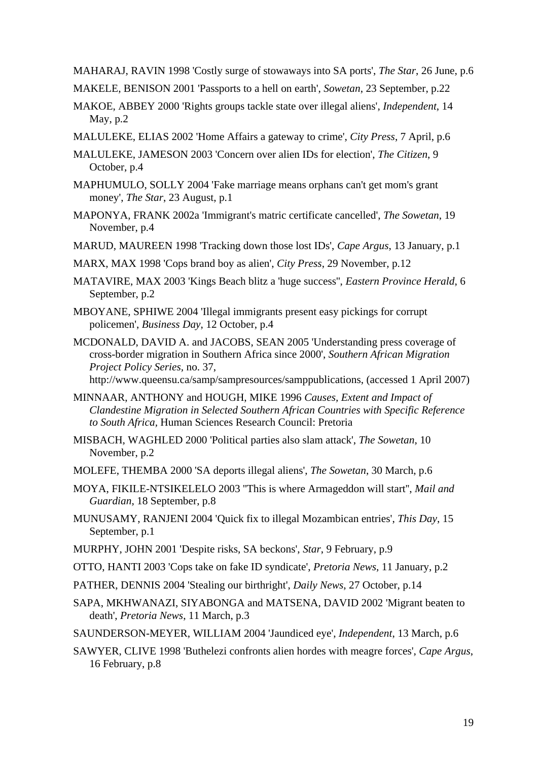MAHARAJ, RAVIN 1998 'Costly surge of stowaways into SA ports', *The Star*, 26 June, p.6

MAKELE, BENISON 2001 'Passports to a hell on earth', *Sowetan*, 23 September, p.22

- MAKOE, ABBEY 2000 'Rights groups tackle state over illegal aliens', *Independent*, 14 May, p.2
- MALULEKE, ELIAS 2002 'Home Affairs a gateway to crime', *City Press*, 7 April, p.6
- MALULEKE, JAMESON 2003 'Concern over alien IDs for election', *The Citizen*, 9 October, p.4
- MAPHUMULO, SOLLY 2004 'Fake marriage means orphans can't get mom's grant money', *The Star*, 23 August, p.1
- MAPONYA, FRANK 2002a 'Immigrant's matric certificate cancelled', *The Sowetan*, 19 November, p.4
- MARUD, MAUREEN 1998 'Tracking down those lost IDs', *Cape Argus*, 13 January, p.1
- MARX, MAX 1998 'Cops brand boy as alien', *City Press*, 29 November, p.12
- MATAVIRE, MAX 2003 'Kings Beach blitz a 'huge success'', *Eastern Province Herald*, 6 September, p.2
- MBOYANE, SPHIWE 2004 'Illegal immigrants present easy pickings for corrupt policemen', *Business Day*, 12 October, p.4
- MCDONALD, DAVID A. and JACOBS, SEAN 2005 'Understanding press coverage of cross-border migration in Southern Africa since 2000', *Southern African Migration Project Policy Series,* no. 37,

[http://www.queensu.ca/samp/sampresources/samppublications,](http://www.queensu.ca/samp/sampresources/samppublications) (accessed 1 April 2007)

- MINNAAR, ANTHONY and HOUGH, MIKE 1996 *Causes, Extent and Impact of Clandestine Migration in Selected Southern African Countries with Specific Reference to South Africa,* Human Sciences Research Council: Pretoria
- MISBACH, WAGHLED 2000 'Political parties also slam attack', *The Sowetan*, 10 November, p.2
- MOLEFE, THEMBA 2000 'SA deports illegal aliens', *The Sowetan*, 30 March, p.6
- MOYA, FIKILE-NTSIKELELO 2003 ''This is where Armageddon will start'', *Mail and Guardian*, 18 September, p.8
- MUNUSAMY, RANJENI 2004 'Quick fix to illegal Mozambican entries', *This Day*, 15 September, p.1
- MURPHY, JOHN 2001 'Despite risks, SA beckons', *Star*, 9 February, p.9
- OTTO, HANTI 2003 'Cops take on fake ID syndicate', *Pretoria News*, 11 January, p.2
- PATHER, DENNIS 2004 'Stealing our birthright', *Daily News*, 27 October, p.14
- SAPA, MKHWANAZI, SIYABONGA and MATSENA, DAVID 2002 'Migrant beaten to death', *Pretoria News*, 11 March, p.3
- SAUNDERSON-MEYER, WILLIAM 2004 'Jaundiced eye', *Independent*, 13 March, p.6
- SAWYER, CLIVE 1998 'Buthelezi confronts alien hordes with meagre forces', *Cape Argus*, 16 February, p.8